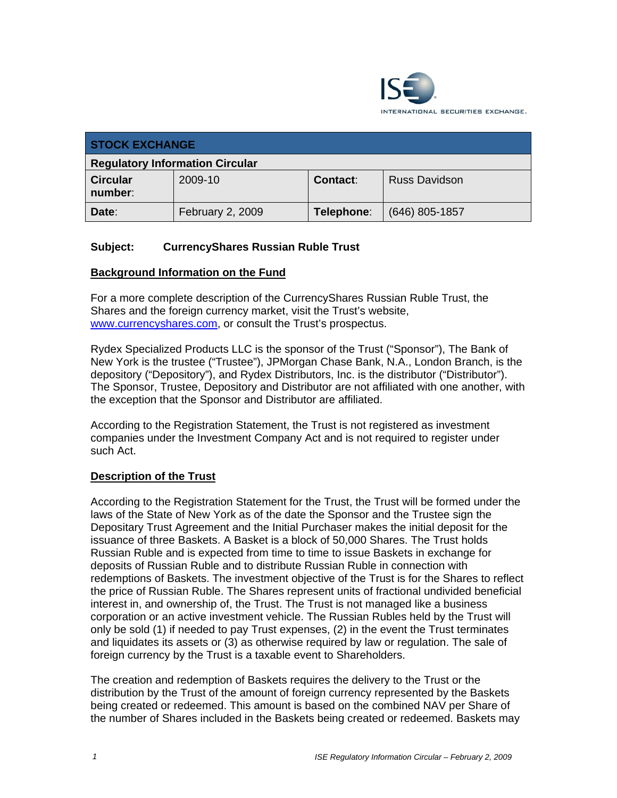

| <b>STOCK EXCHANGE</b>                  |                  |                 |                      |
|----------------------------------------|------------------|-----------------|----------------------|
| <b>Regulatory Information Circular</b> |                  |                 |                      |
| <b>Circular</b><br>number:             | 2009-10          | <b>Contact:</b> | <b>Russ Davidson</b> |
| Date:                                  | February 2, 2009 | Telephone:      | (646) 805-1857       |

### **Subject: CurrencyShares Russian Ruble Trust**

#### **Background Information on the Fund**

For a more complete description of the CurrencyShares Russian Ruble Trust, the Shares and the foreign currency market, visit the Trust's website, www.currencyshares.com, or consult the Trust's prospectus.

Rydex Specialized Products LLC is the sponsor of the Trust ("Sponsor"), The Bank of New York is the trustee ("Trustee"), JPMorgan Chase Bank, N.A., London Branch, is the depository ("Depository"), and Rydex Distributors, Inc. is the distributor ("Distributor"). The Sponsor, Trustee, Depository and Distributor are not affiliated with one another, with the exception that the Sponsor and Distributor are affiliated.

According to the Registration Statement, the Trust is not registered as investment companies under the Investment Company Act and is not required to register under such Act.

### **Description of the Trust**

According to the Registration Statement for the Trust, the Trust will be formed under the laws of the State of New York as of the date the Sponsor and the Trustee sign the Depositary Trust Agreement and the Initial Purchaser makes the initial deposit for the issuance of three Baskets. A Basket is a block of 50,000 Shares. The Trust holds Russian Ruble and is expected from time to time to issue Baskets in exchange for deposits of Russian Ruble and to distribute Russian Ruble in connection with redemptions of Baskets. The investment objective of the Trust is for the Shares to reflect the price of Russian Ruble. The Shares represent units of fractional undivided beneficial interest in, and ownership of, the Trust. The Trust is not managed like a business corporation or an active investment vehicle. The Russian Rubles held by the Trust will only be sold (1) if needed to pay Trust expenses, (2) in the event the Trust terminates and liquidates its assets or (3) as otherwise required by law or regulation. The sale of foreign currency by the Trust is a taxable event to Shareholders.

The creation and redemption of Baskets requires the delivery to the Trust or the distribution by the Trust of the amount of foreign currency represented by the Baskets being created or redeemed. This amount is based on the combined NAV per Share of the number of Shares included in the Baskets being created or redeemed. Baskets may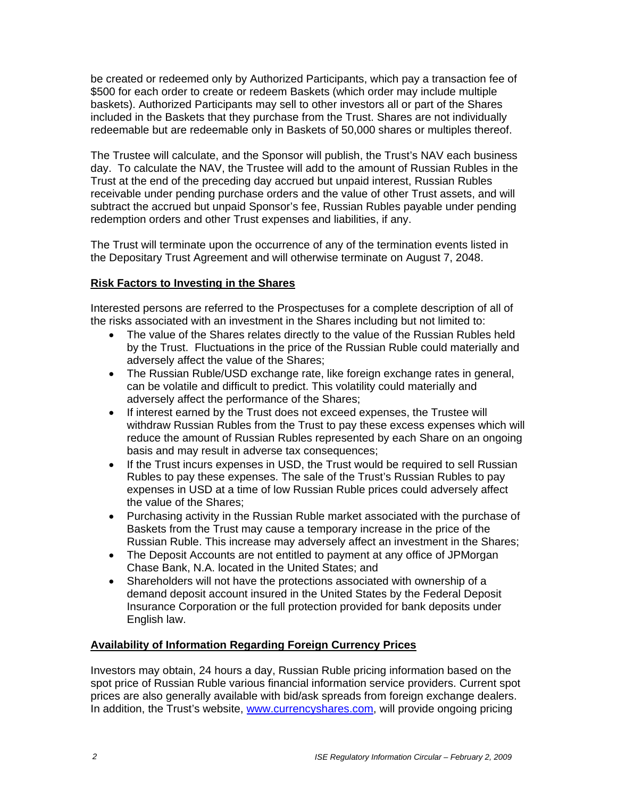be created or redeemed only by Authorized Participants, which pay a transaction fee of \$500 for each order to create or redeem Baskets (which order may include multiple baskets). Authorized Participants may sell to other investors all or part of the Shares included in the Baskets that they purchase from the Trust. Shares are not individually redeemable but are redeemable only in Baskets of 50,000 shares or multiples thereof.

The Trustee will calculate, and the Sponsor will publish, the Trust's NAV each business day. To calculate the NAV, the Trustee will add to the amount of Russian Rubles in the Trust at the end of the preceding day accrued but unpaid interest, Russian Rubles receivable under pending purchase orders and the value of other Trust assets, and will subtract the accrued but unpaid Sponsor's fee, Russian Rubles payable under pending redemption orders and other Trust expenses and liabilities, if any.

The Trust will terminate upon the occurrence of any of the termination events listed in the Depositary Trust Agreement and will otherwise terminate on August 7, 2048.

### **Risk Factors to Investing in the Shares**

Interested persons are referred to the Prospectuses for a complete description of all of the risks associated with an investment in the Shares including but not limited to:

- The value of the Shares relates directly to the value of the Russian Rubles held by the Trust. Fluctuations in the price of the Russian Ruble could materially and adversely affect the value of the Shares;
- The Russian Ruble/USD exchange rate, like foreign exchange rates in general, can be volatile and difficult to predict. This volatility could materially and adversely affect the performance of the Shares;
- If interest earned by the Trust does not exceed expenses, the Trustee will withdraw Russian Rubles from the Trust to pay these excess expenses which will reduce the amount of Russian Rubles represented by each Share on an ongoing basis and may result in adverse tax consequences;
- If the Trust incurs expenses in USD, the Trust would be required to sell Russian Rubles to pay these expenses. The sale of the Trust's Russian Rubles to pay expenses in USD at a time of low Russian Ruble prices could adversely affect the value of the Shares;
- Purchasing activity in the Russian Ruble market associated with the purchase of Baskets from the Trust may cause a temporary increase in the price of the Russian Ruble. This increase may adversely affect an investment in the Shares;
- The Deposit Accounts are not entitled to payment at any office of JPMorgan Chase Bank, N.A. located in the United States; and
- Shareholders will not have the protections associated with ownership of a demand deposit account insured in the United States by the Federal Deposit Insurance Corporation or the full protection provided for bank deposits under English law.

### **Availability of Information Regarding Foreign Currency Prices**

Investors may obtain, 24 hours a day, Russian Ruble pricing information based on the spot price of Russian Ruble various financial information service providers. Current spot prices are also generally available with bid/ask spreads from foreign exchange dealers. In addition, the Trust's website, www.currencyshares.com, will provide ongoing pricing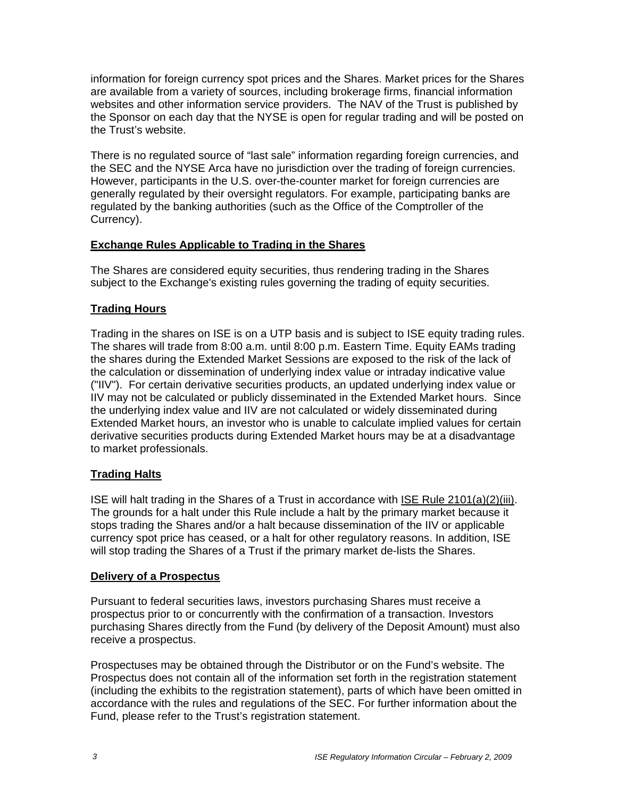information for foreign currency spot prices and the Shares. Market prices for the Shares are available from a variety of sources, including brokerage firms, financial information websites and other information service providers. The NAV of the Trust is published by the Sponsor on each day that the NYSE is open for regular trading and will be posted on the Trust's website.

There is no regulated source of "last sale" information regarding foreign currencies, and the SEC and the NYSE Arca have no jurisdiction over the trading of foreign currencies. However, participants in the U.S. over-the-counter market for foreign currencies are generally regulated by their oversight regulators. For example, participating banks are regulated by the banking authorities (such as the Office of the Comptroller of the Currency).

### **Exchange Rules Applicable to Trading in the Shares**

The Shares are considered equity securities, thus rendering trading in the Shares subject to the Exchange's existing rules governing the trading of equity securities.

### **Trading Hours**

Trading in the shares on ISE is on a UTP basis and is subject to ISE equity trading rules. The shares will trade from 8:00 a.m. until 8:00 p.m. Eastern Time. Equity EAMs trading the shares during the Extended Market Sessions are exposed to the risk of the lack of the calculation or dissemination of underlying index value or intraday indicative value ("IIV"). For certain derivative securities products, an updated underlying index value or IIV may not be calculated or publicly disseminated in the Extended Market hours. Since the underlying index value and IIV are not calculated or widely disseminated during Extended Market hours, an investor who is unable to calculate implied values for certain derivative securities products during Extended Market hours may be at a disadvantage to market professionals.

### **Trading Halts**

ISE will halt trading in the Shares of a Trust in accordance with ISE Rule 2101(a)(2)(iii). The grounds for a halt under this Rule include a halt by the primary market because it stops trading the Shares and/or a halt because dissemination of the IIV or applicable currency spot price has ceased, or a halt for other regulatory reasons. In addition, ISE will stop trading the Shares of a Trust if the primary market de-lists the Shares.

### **Delivery of a Prospectus**

Pursuant to federal securities laws, investors purchasing Shares must receive a prospectus prior to or concurrently with the confirmation of a transaction. Investors purchasing Shares directly from the Fund (by delivery of the Deposit Amount) must also receive a prospectus.

Prospectuses may be obtained through the Distributor or on the Fund's website. The Prospectus does not contain all of the information set forth in the registration statement (including the exhibits to the registration statement), parts of which have been omitted in accordance with the rules and regulations of the SEC. For further information about the Fund, please refer to the Trust's registration statement.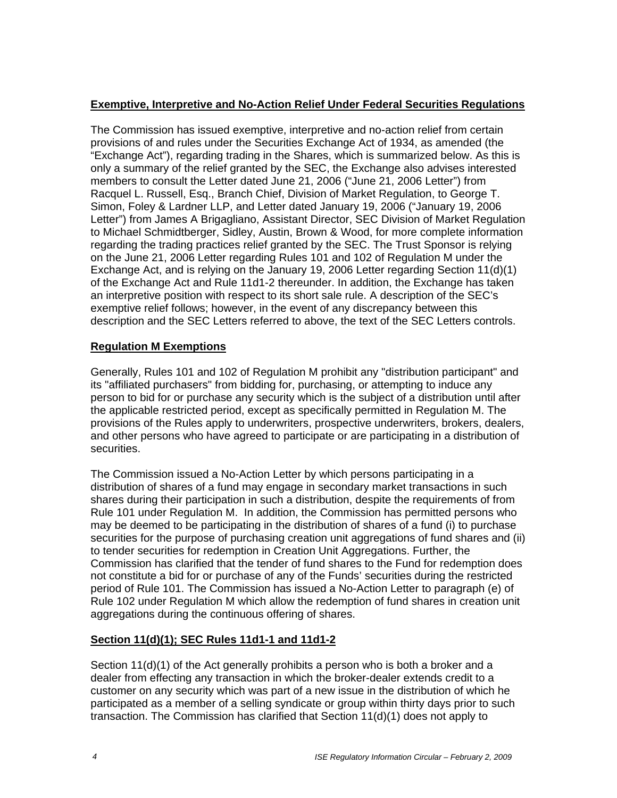### **Exemptive, Interpretive and No-Action Relief Under Federal Securities Regulations**

The Commission has issued exemptive, interpretive and no-action relief from certain provisions of and rules under the Securities Exchange Act of 1934, as amended (the "Exchange Act"), regarding trading in the Shares, which is summarized below. As this is only a summary of the relief granted by the SEC, the Exchange also advises interested members to consult the Letter dated June 21, 2006 ("June 21, 2006 Letter") from Racquel L. Russell, Esq., Branch Chief, Division of Market Regulation, to George T. Simon, Foley & Lardner LLP, and Letter dated January 19, 2006 ("January 19, 2006 Letter") from James A Brigagliano, Assistant Director, SEC Division of Market Regulation to Michael Schmidtberger, Sidley, Austin, Brown & Wood, for more complete information regarding the trading practices relief granted by the SEC. The Trust Sponsor is relying on the June 21, 2006 Letter regarding Rules 101 and 102 of Regulation M under the Exchange Act, and is relying on the January 19, 2006 Letter regarding Section 11(d)(1) of the Exchange Act and Rule 11d1-2 thereunder. In addition, the Exchange has taken an interpretive position with respect to its short sale rule. A description of the SEC's exemptive relief follows; however, in the event of any discrepancy between this description and the SEC Letters referred to above, the text of the SEC Letters controls.

### **Regulation M Exemptions**

Generally, Rules 101 and 102 of Regulation M prohibit any "distribution participant" and its "affiliated purchasers" from bidding for, purchasing, or attempting to induce any person to bid for or purchase any security which is the subject of a distribution until after the applicable restricted period, except as specifically permitted in Regulation M. The provisions of the Rules apply to underwriters, prospective underwriters, brokers, dealers, and other persons who have agreed to participate or are participating in a distribution of securities.

The Commission issued a No-Action Letter by which persons participating in a distribution of shares of a fund may engage in secondary market transactions in such shares during their participation in such a distribution, despite the requirements of from Rule 101 under Regulation M. In addition, the Commission has permitted persons who may be deemed to be participating in the distribution of shares of a fund (i) to purchase securities for the purpose of purchasing creation unit aggregations of fund shares and (ii) to tender securities for redemption in Creation Unit Aggregations. Further, the Commission has clarified that the tender of fund shares to the Fund for redemption does not constitute a bid for or purchase of any of the Funds' securities during the restricted period of Rule 101. The Commission has issued a No-Action Letter to paragraph (e) of Rule 102 under Regulation M which allow the redemption of fund shares in creation unit aggregations during the continuous offering of shares.

### **Section 11(d)(1); SEC Rules 11d1-1 and 11d1-2**

Section 11(d)(1) of the Act generally prohibits a person who is both a broker and a dealer from effecting any transaction in which the broker-dealer extends credit to a customer on any security which was part of a new issue in the distribution of which he participated as a member of a selling syndicate or group within thirty days prior to such transaction. The Commission has clarified that Section 11(d)(1) does not apply to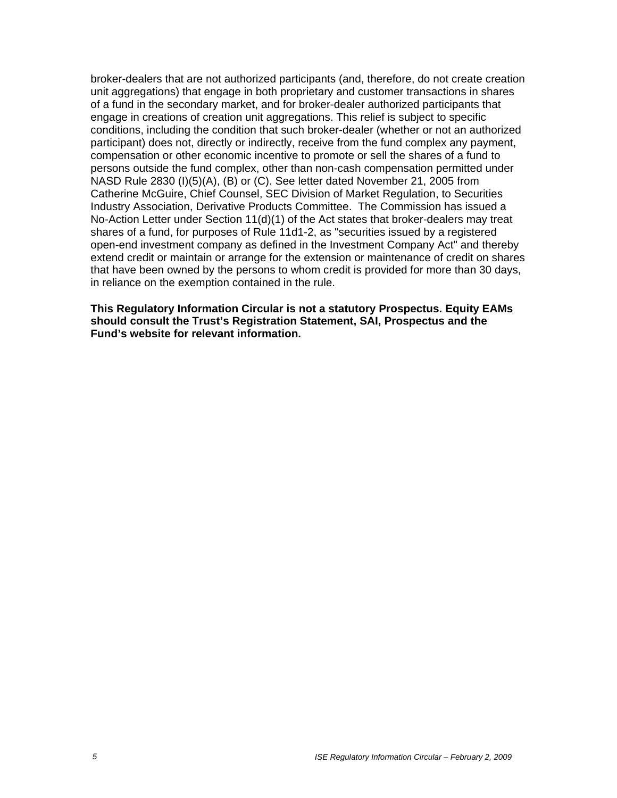broker-dealers that are not authorized participants (and, therefore, do not create creation unit aggregations) that engage in both proprietary and customer transactions in shares of a fund in the secondary market, and for broker-dealer authorized participants that engage in creations of creation unit aggregations. This relief is subject to specific conditions, including the condition that such broker-dealer (whether or not an authorized participant) does not, directly or indirectly, receive from the fund complex any payment, compensation or other economic incentive to promote or sell the shares of a fund to persons outside the fund complex, other than non-cash compensation permitted under NASD Rule 2830 (I)(5)(A), (B) or (C). See letter dated November 21, 2005 from Catherine McGuire, Chief Counsel, SEC Division of Market Regulation, to Securities Industry Association, Derivative Products Committee. The Commission has issued a No-Action Letter under Section 11(d)(1) of the Act states that broker-dealers may treat shares of a fund, for purposes of Rule 11d1-2, as "securities issued by a registered open-end investment company as defined in the Investment Company Act" and thereby extend credit or maintain or arrange for the extension or maintenance of credit on shares that have been owned by the persons to whom credit is provided for more than 30 days, in reliance on the exemption contained in the rule.

**This Regulatory Information Circular is not a statutory Prospectus. Equity EAMs should consult the Trust's Registration Statement, SAI, Prospectus and the Fund's website for relevant information.**